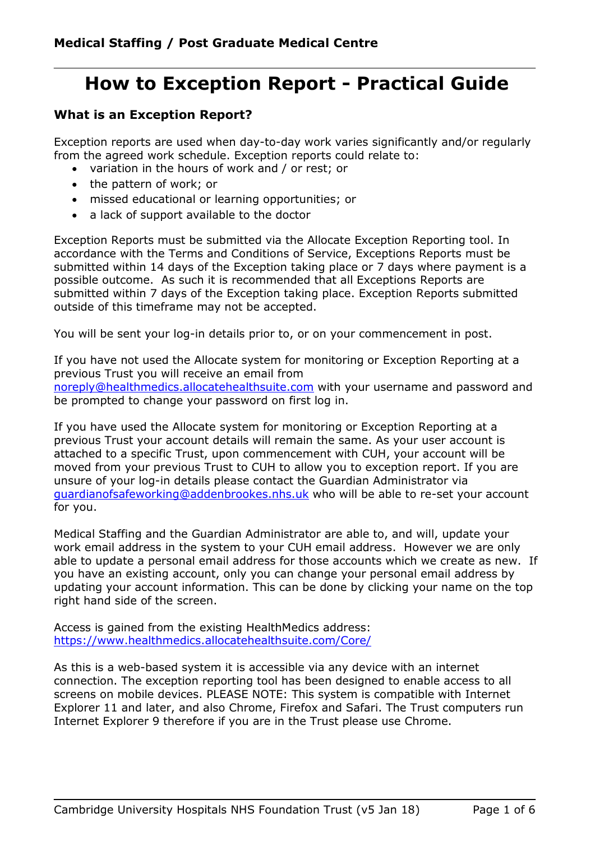# **How to Exception Report - Practical Guide**

### **What is an Exception Report?**

Exception reports are used when day-to-day work varies significantly and/or regularly from the agreed work schedule. Exception reports could relate to:

- variation in the hours of work and / or rest; or
- the pattern of work; or
- missed educational or learning opportunities; or
- a lack of support available to the doctor

Exception Reports must be submitted via the Allocate Exception Reporting tool. In accordance with the Terms and Conditions of Service, Exceptions Reports must be submitted within 14 days of the Exception taking place or 7 days where payment is a possible outcome. As such it is recommended that all Exceptions Reports are submitted within 7 days of the Exception taking place. Exception Reports submitted outside of this timeframe may not be accepted.

You will be sent your log-in details prior to, or on your commencement in post.

If you have not used the Allocate system for monitoring or Exception Reporting at a previous Trust you will receive an email from [noreply@healthmedics.allocatehealthsuite.com](mailto:noreply@healthmedics.allocatehealthsuite.com) with your username and password and be prompted to change your password on first log in.

If you have used the Allocate system for monitoring or Exception Reporting at a previous Trust your account details will remain the same. As your user account is attached to a specific Trust, upon commencement with CUH, your account will be moved from your previous Trust to CUH to allow you to exception report. If you are unsure of your log-in details please contact the Guardian Administrator via [guardianofsafeworking@addenbrookes.nhs.uk](mailto:guardianofsafeworking@addenbrookes.nhs.uk) who will be able to re-set your account for you.

Medical Staffing and the Guardian Administrator are able to, and will, update your work email address in the system to your CUH email address. However we are only able to update a personal email address for those accounts which we create as new. If you have an existing account, only you can change your personal email address by updating your account information. This can be done by clicking your name on the top right hand side of the screen.

Access is gained from the existing HealthMedics address: <https://www.healthmedics.allocatehealthsuite.com/Core/>

As this is a web-based system it is accessible via any device with an internet connection. The exception reporting tool has been designed to enable access to all screens on mobile devices. PLEASE NOTE: This system is compatible with Internet Explorer 11 and later, and also Chrome, Firefox and Safari. The Trust computers run Internet Explorer 9 therefore if you are in the Trust please use Chrome.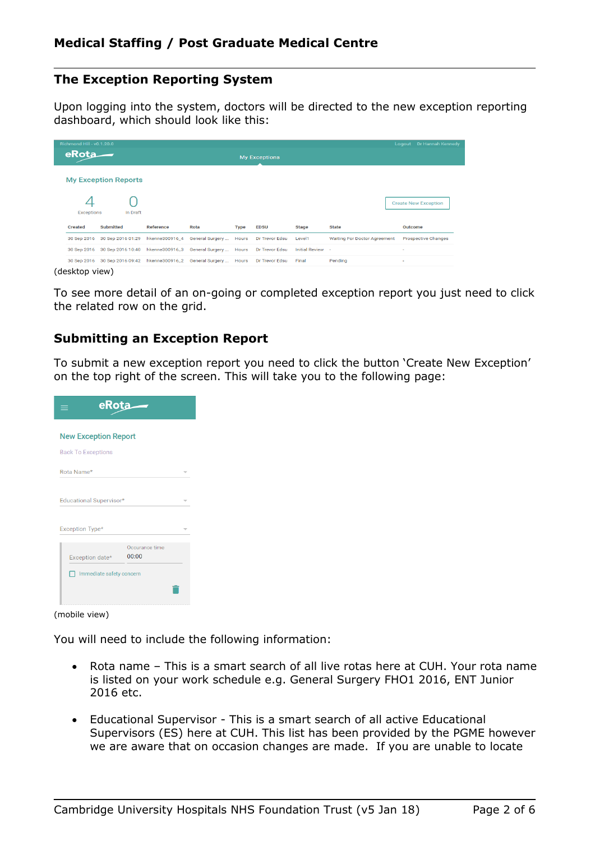#### **The Exception Reporting System**

Upon logging into the system, doctors will be directed to the new exception reporting dashboard, which should look like this:

| Richmond Hill - v0.1.20.0 |                                              |                  |                        |              |                       |                  |                                     | Logout Dr Hannah Kennedy    |
|---------------------------|----------------------------------------------|------------------|------------------------|--------------|-----------------------|------------------|-------------------------------------|-----------------------------|
| eRota                     |                                              |                  |                        |              | <b>My Exceptions</b>  |                  |                                     |                             |
|                           | <b>My Exception Reports</b>                  |                  |                        |              |                       |                  |                                     |                             |
| <b>Exceptions</b>         | In Draft                                     |                  |                        |              |                       |                  |                                     | <b>Create New Exception</b> |
| <b>Created</b>            | <b>Submitted</b>                             | <b>Reference</b> | Rota                   | <b>Type</b>  | <b>EDSU</b>           | <b>Stage</b>     | <b>State</b>                        | Outcome                     |
| 30 Sep 2016               | 30 Sep 2016 01:29                            | hkenne300916_4   | General Surgery        | <b>Hours</b> | Dr Trevor Edsu        | Level1           | <b>Waiting For Doctor Agreement</b> | <b>Prospective Changes</b>  |
| 30 Sep 2016               | 30 Sep 2016 10:40                            | hkenne300916_3   | General Surgery  Hours |              | Dr Trevor Edsu        | Initial Review - |                                     | ٠                           |
|                           | 30 Sep 2016 30 Sep 2016 09:42 hkenne300916_2 |                  | General Surgery  Hours |              | <b>Dr Trevor Edsu</b> | Final            | Pending                             | $\sim$                      |
| (desktop view)            |                                              |                  |                        |              |                       |                  |                                     |                             |

To see more detail of an on-going or completed exception report you just need to click the related row on the grid.

#### **Submitting an Exception Report**

To submit a new exception report you need to click the button 'Create New Exception' on the top right of the screen. This will take you to the following page:

| eRota                         |                         |  |  |  |  |
|-------------------------------|-------------------------|--|--|--|--|
| <b>New Exception Report</b>   |                         |  |  |  |  |
| <b>Back To Exceptions</b>     |                         |  |  |  |  |
| Rota Name*                    |                         |  |  |  |  |
| Educational Supervisor*       |                         |  |  |  |  |
| Exception Type*               |                         |  |  |  |  |
| Exception date*               | Occurance time<br>00:00 |  |  |  |  |
| Immediate safety concern<br>ш |                         |  |  |  |  |
|                               |                         |  |  |  |  |

(mobile view)

You will need to include the following information:

- Rota name This is a smart search of all live rotas here at CUH. Your rota name is listed on your work schedule e.g. General Surgery FHO1 2016, ENT Junior 2016 etc.
- Educational Supervisor This is a smart search of all active Educational Supervisors (ES) here at CUH. This list has been provided by the PGME however we are aware that on occasion changes are made. If you are unable to locate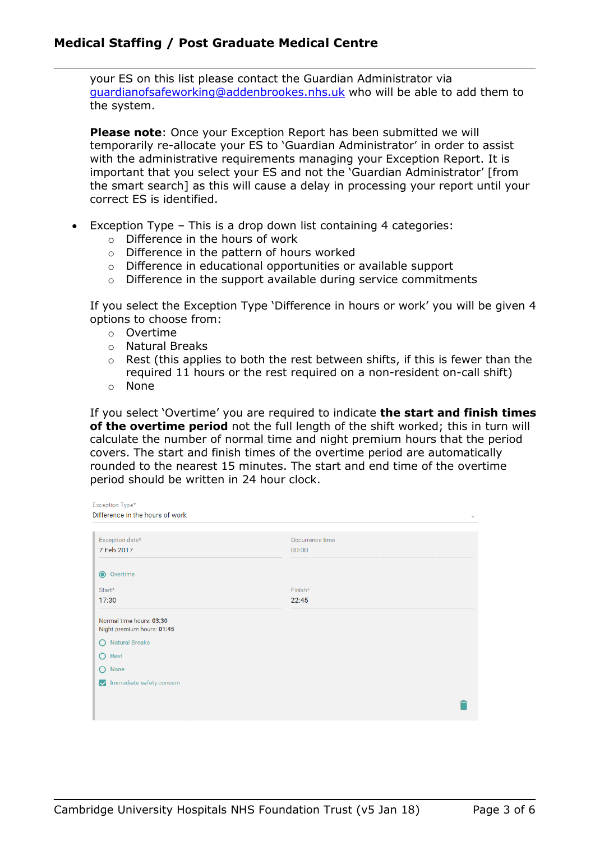#### **Medical Staffing / Post Graduate Medical Centre**

your ES on this list please contact the Guardian Administrator via [guardianofsafeworking@addenbrookes.nhs.uk](mailto:guardianofsafeworking@addenbrookes.nhs.uk) who will be able to add them to the system.

**Please note**: Once your Exception Report has been submitted we will temporarily re-allocate your ES to 'Guardian Administrator' in order to assist with the administrative requirements managing your Exception Report. It is important that you select your ES and not the 'Guardian Administrator' [from the smart search] as this will cause a delay in processing your report until your correct ES is identified.

- Exception Type This is a drop down list containing 4 categories:
	- o Difference in the hours of work
	- o Difference in the pattern of hours worked
	- o Difference in educational opportunities or available support
	- o Difference in the support available during service commitments

If you select the Exception Type 'Difference in hours or work' you will be given 4 options to choose from:

- o Overtime
- o Natural Breaks
- o Rest (this applies to both the rest between shifts, if this is fewer than the required 11 hours or the rest required on a non-resident on-call shift)
- o None

If you select 'Overtime' you are required to indicate **the start and finish times of the overtime period** not the full length of the shift worked; this in turn will calculate the number of normal time and night premium hours that the period covers. The start and finish times of the overtime period are automatically rounded to the nearest 15 minutes. The start and end time of the overtime period should be written in 24 hour clock.

| Exception Type*                                        |                          |
|--------------------------------------------------------|--------------------------|
| Difference in the hours of work                        | $\overline{\phantom{a}}$ |
|                                                        |                          |
| Exception date*                                        | Occurrence time          |
| 7 Feb 2017                                             | 00:00                    |
|                                                        |                          |
| $\bullet$<br>Overtime                                  |                          |
| Start*                                                 | Finish*                  |
| 17:30                                                  | 22:45                    |
| Normal time hours: 03:30<br>Night premium hours: 01:45 |                          |
| <b>Natural Breaks</b><br>$\cap$                        |                          |
| $\circ$<br>Rest                                        |                          |
| $\circ$<br>None                                        |                          |
| Immediate safety concern                               |                          |
|                                                        |                          |
|                                                        |                          |
|                                                        |                          |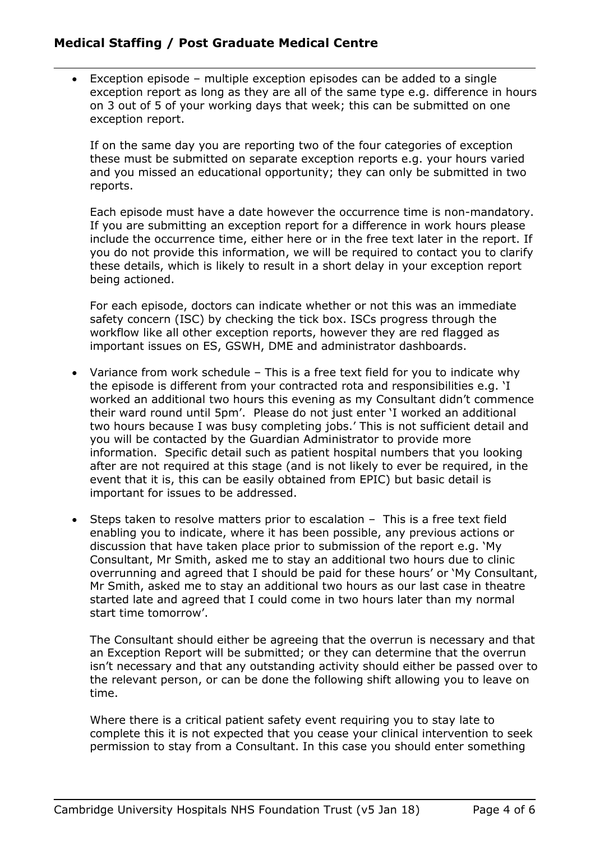#### **Medical Staffing / Post Graduate Medical Centre**

 Exception episode – multiple exception episodes can be added to a single exception report as long as they are all of the same type e.g. difference in hours on 3 out of 5 of your working days that week; this can be submitted on one exception report.

If on the same day you are reporting two of the four categories of exception these must be submitted on separate exception reports e.g. your hours varied and you missed an educational opportunity; they can only be submitted in two reports.

Each episode must have a date however the occurrence time is non-mandatory. If you are submitting an exception report for a difference in work hours please include the occurrence time, either here or in the free text later in the report. If you do not provide this information, we will be required to contact you to clarify these details, which is likely to result in a short delay in your exception report being actioned.

For each episode, doctors can indicate whether or not this was an immediate safety concern (ISC) by checking the tick box. ISCs progress through the workflow like all other exception reports, however they are red flagged as important issues on ES, GSWH, DME and administrator dashboards.

- Variance from work schedule This is a free text field for you to indicate why the episode is different from your contracted rota and responsibilities e.g. 'I worked an additional two hours this evening as my Consultant didn't commence their ward round until 5pm'. Please do not just enter 'I worked an additional two hours because I was busy completing jobs.' This is not sufficient detail and you will be contacted by the Guardian Administrator to provide more information. Specific detail such as patient hospital numbers that you looking after are not required at this stage (and is not likely to ever be required, in the event that it is, this can be easily obtained from EPIC) but basic detail is important for issues to be addressed.
- Steps taken to resolve matters prior to escalation This is a free text field enabling you to indicate, where it has been possible, any previous actions or discussion that have taken place prior to submission of the report e.g. 'My Consultant, Mr Smith, asked me to stay an additional two hours due to clinic overrunning and agreed that I should be paid for these hours' or 'My Consultant, Mr Smith, asked me to stay an additional two hours as our last case in theatre started late and agreed that I could come in two hours later than my normal start time tomorrow'.

The Consultant should either be agreeing that the overrun is necessary and that an Exception Report will be submitted; or they can determine that the overrun isn't necessary and that any outstanding activity should either be passed over to the relevant person, or can be done the following shift allowing you to leave on time.

Where there is a critical patient safety event requiring you to stay late to complete this it is not expected that you cease your clinical intervention to seek permission to stay from a Consultant. In this case you should enter something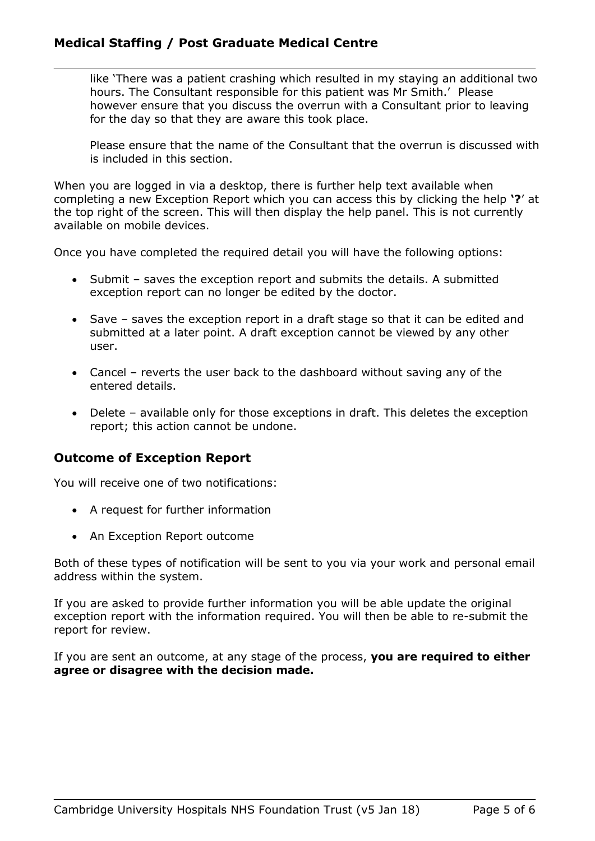#### **Medical Staffing / Post Graduate Medical Centre**

like 'There was a patient crashing which resulted in my staying an additional two hours. The Consultant responsible for this patient was Mr Smith.' Please however ensure that you discuss the overrun with a Consultant prior to leaving for the day so that they are aware this took place.

Please ensure that the name of the Consultant that the overrun is discussed with is included in this section.

When you are logged in via a desktop, there is further help text available when completing a new Exception Report which you can access this by clicking the help **'?**' at the top right of the screen. This will then display the help panel. This is not currently available on mobile devices.

Once you have completed the required detail you will have the following options:

- Submit saves the exception report and submits the details. A submitted exception report can no longer be edited by the doctor.
- Save saves the exception report in a draft stage so that it can be edited and submitted at a later point. A draft exception cannot be viewed by any other user.
- Cancel reverts the user back to the dashboard without saving any of the entered details.
- Delete available only for those exceptions in draft. This deletes the exception report; this action cannot be undone.

#### **Outcome of Exception Report**

You will receive one of two notifications:

- A request for further information
- An Exception Report outcome

Both of these types of notification will be sent to you via your work and personal email address within the system.

If you are asked to provide further information you will be able update the original exception report with the information required. You will then be able to re-submit the report for review.

If you are sent an outcome, at any stage of the process, **you are required to either agree or disagree with the decision made.**